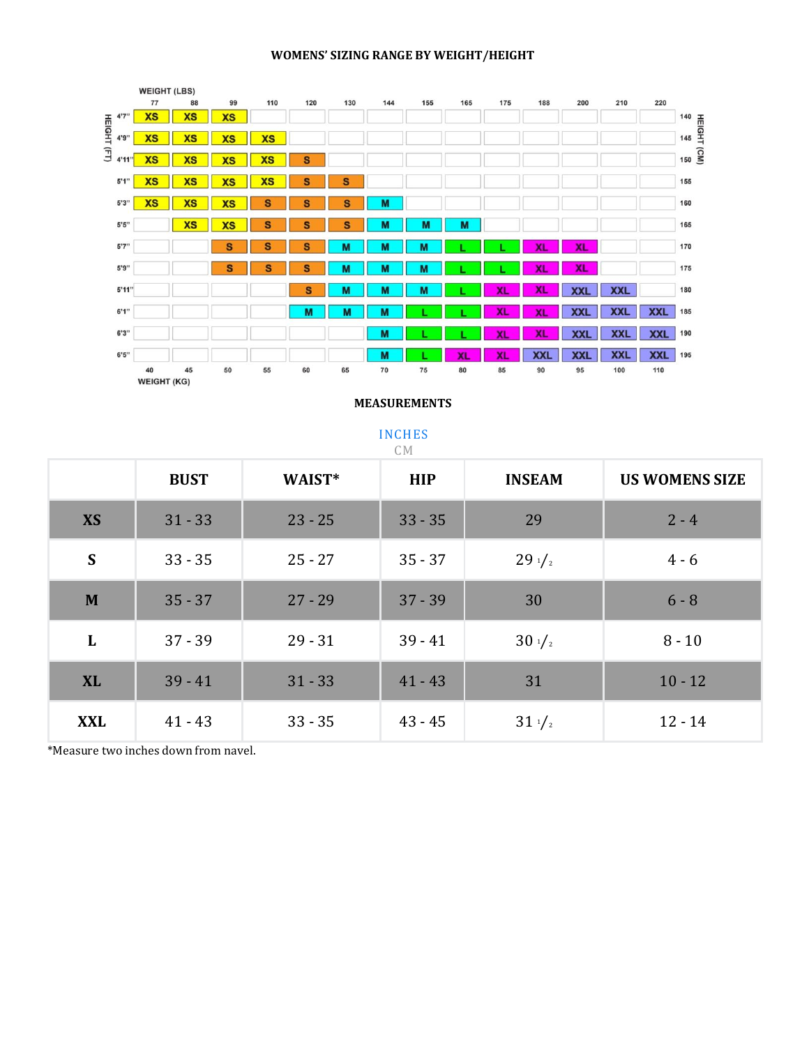#### **WOMENS' SIZING RANGE BY WEIGHT/HEIGHT**



#### **MEASUREMENTS**

| <b>INCHES</b><br>C M |             |           |            |                  |                       |  |
|----------------------|-------------|-----------|------------|------------------|-----------------------|--|
|                      | <b>BUST</b> | WAIST*    | <b>HIP</b> | <b>INSEAM</b>    | <b>US WOMENS SIZE</b> |  |
| <b>XS</b>            | $31 - 33$   | $23 - 25$ | $33 - 35$  | 29               | $2 - 4$               |  |
| S                    | $33 - 35$   | $25 - 27$ | $35 - 37$  | $29\frac{1}{2}$  | $4 - 6$               |  |
| M                    | $35 - 37$   | $27 - 29$ | $37 - 39$  | 30               | $6 - 8$               |  |
| L                    | $37 - 39$   | $29 - 31$ | $39 - 41$  | $30 \frac{1}{2}$ | $8 - 10$              |  |
| <b>XL</b>            | $39 - 41$   | $31 - 33$ | $41 - 43$  | 31               | $10 - 12$             |  |
| <b>XXL</b>           | $41 - 43$   | $33 - 35$ | $43 - 45$  | $31 \frac{1}{2}$ | $12 - 14$             |  |

\*Measure two inches down from navel.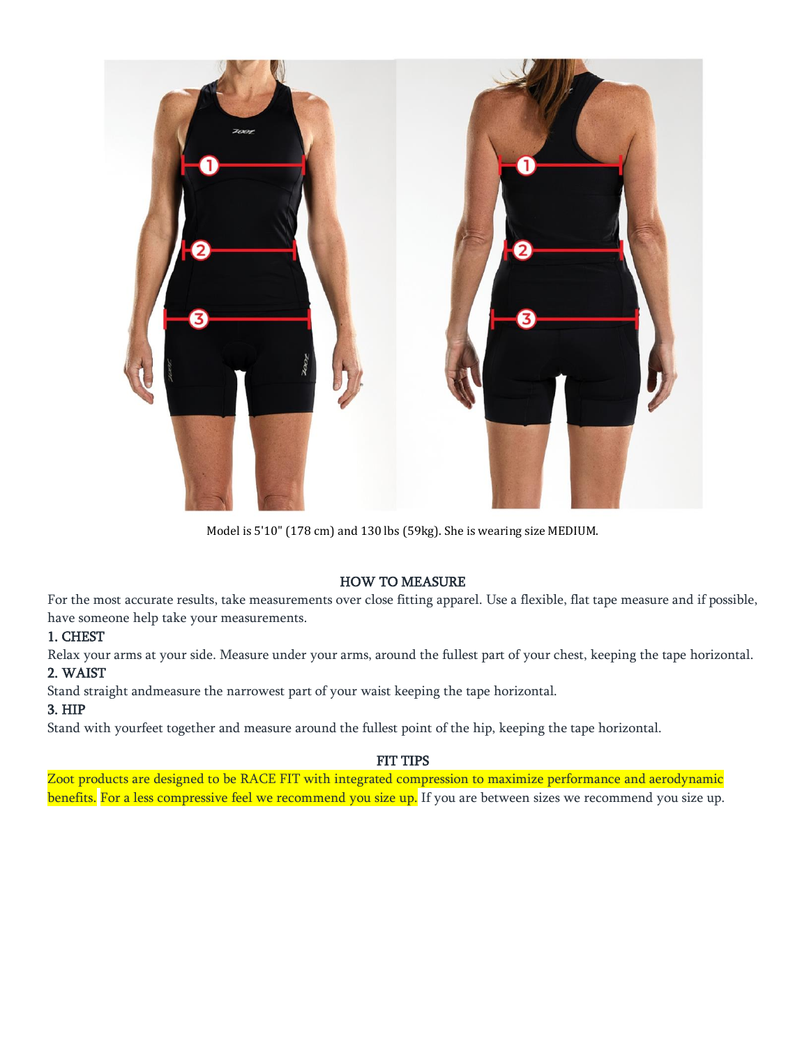

Model is 5'10" (178 cm) and 130 lbs (59kg). She is wearing size MEDIUM.

### HOW TO MEASURE

For the most accurate results, take measurements over close fitting apparel. Use a flexible, flat tape measure and if possible, have someone help take your measurements.

## 1. CHEST

Relax your arms at your side. Measure under your arms, around the fullest part of your chest, keeping the tape horizontal. 2. WAIST

Stand straight andmeasure the narrowest part of your waist keeping the tape horizontal.

# 3. HIP

Stand with yourfeet together and measure around the fullest point of the hip, keeping the tape horizontal.

## FIT TIPS

Zoot products are designed to be RACE FIT with integrated compression to maximize performance and aerodynamic benefits. For a less compressive feel we recommend you size up. If you are between sizes we recommend you size up.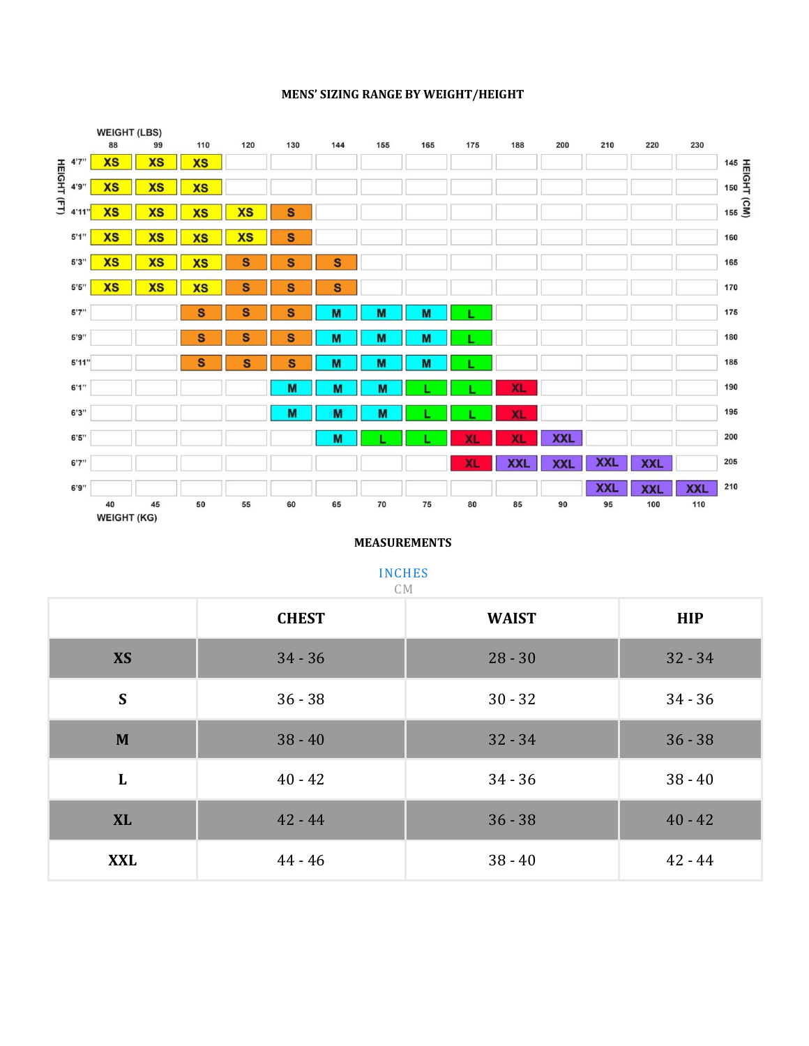#### **MENS' SIZING RANGE BY WEIGHT/HEIGHT**



### **MEASUREMENTS**

### INCHES

| C <sub>M</sub> |              |              |            |  |  |  |
|----------------|--------------|--------------|------------|--|--|--|
|                | <b>CHEST</b> | <b>WAIST</b> | <b>HIP</b> |  |  |  |
| <b>XS</b>      | $34 - 36$    | $28 - 30$    | $32 - 34$  |  |  |  |
| S              | $36 - 38$    | $30 - 32$    | $34 - 36$  |  |  |  |
| M              | $38 - 40$    | $32 - 34$    | $36 - 38$  |  |  |  |
| L              | $40 - 42$    | $34 - 36$    | $38 - 40$  |  |  |  |
| <b>XL</b>      | $42 - 44$    | $36 - 38$    | $40 - 42$  |  |  |  |
| <b>XXL</b>     | $44 - 46$    | $38 - 40$    | $42 - 44$  |  |  |  |